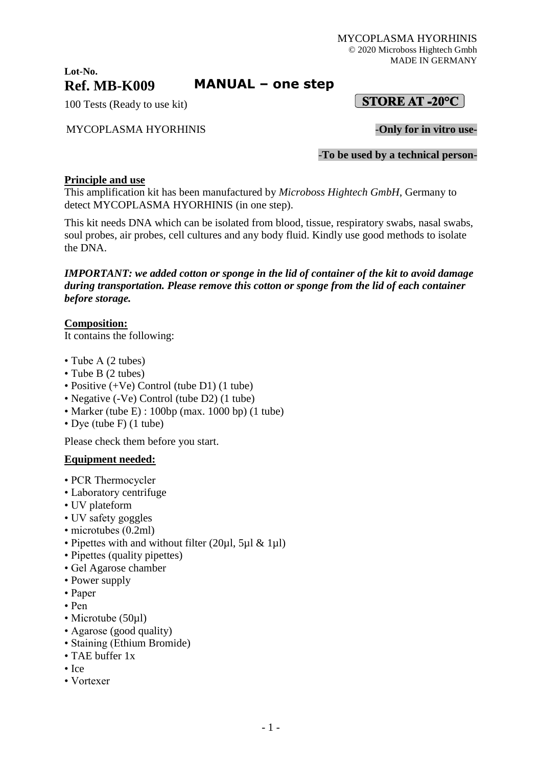MYCOPLASMA HYORHINIS © 2020 Microboss Hightech Gmbh MADE IN GERMANY

 $[$  STORE AT -20°C  $]$ 

### **Lot-No. Ref. MB-K009**

# **MANUAL – one step**

100 Tests (Ready to use kit)

### MYCOPLASMA HYORHINIS -**Only for in vitro use-**

-**To be used by a technical person-**

#### **Principle and use**

This amplification kit has been manufactured by *Microboss Hightech GmbH*, Germany to detect MYCOPLASMA HYORHINIS (in one step).

This kit needs DNA which can be isolated from blood, tissue, respiratory swabs, nasal swabs, soul probes, air probes, cell cultures and any body fluid. Kindly use good methods to isolate the DNA.

### *IMPORTANT: we added cotton or sponge in the lid of container of the kit to avoid damage during transportation. Please remove this cotton or sponge from the lid of each container before storage.*

### **Composition:**

It contains the following:

- Tube A (2 tubes)
- Tube B (2 tubes)
- Positive (+Ve) Control (tube D1) (1 tube)
- Negative (-Ve) Control (tube D2) (1 tube)
- Marker (tube E) : 100bp (max. 1000 bp) (1 tube)
- Dye (tube F) (1 tube)

Please check them before you start.

#### **Equipment needed:**

- PCR Thermocycler
- Laboratory centrifuge
- UV plateform
- UV safety goggles
- microtubes (0.2ml)
- Pipettes with and without filter (20µl, 5µl & 1µl)
- Pipettes (quality pipettes)
- Gel Agarose chamber
- Power supply
- Paper
- Pen
- Microtube (50µl)
- Agarose (good quality)
- Staining (Ethium Bromide)
- TAE buffer 1x
- Ice
- Vortexer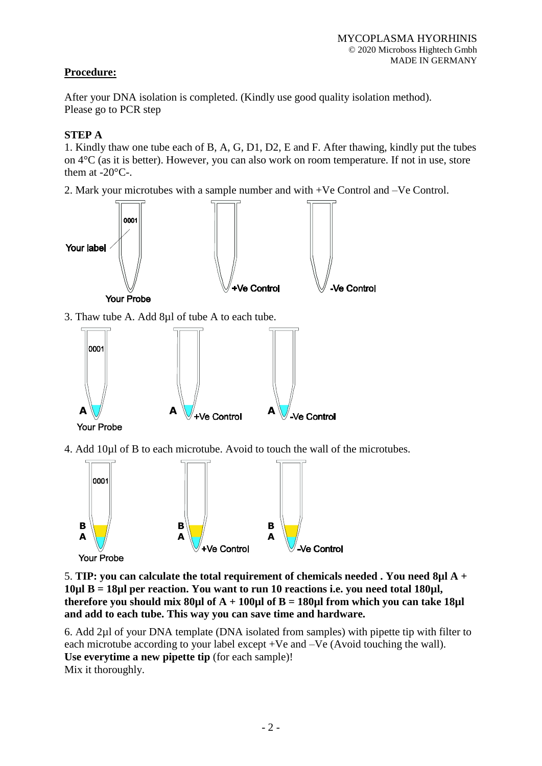## **Procedure:**

After your DNA isolation is completed. (Kindly use good quality isolation method). Please go to PCR step

## **STEP A**

1. Kindly thaw one tube each of B, A, G, D1, D2, E and F. After thawing, kindly put the tubes on 4°C (as it is better). However, you can also work on room temperature. If not in use, store them at -20°C-.

2. Mark your microtubes with a sample number and with +Ve Control and –Ve Control.



4. Add 10µl of B to each microtube. Avoid to touch the wall of the microtubes.



5. **TIP: you can calculate the total requirement of chemicals needed . You need 8µl A + 10µl B = 18µl per reaction. You want to run 10 reactions i.e. you need total 180µl, therefore you should mix 80µl of A** + 100µl of B = 180µl from which you can take 18µl **and add to each tube. This way you can save time and hardware.**

6. Add 2µl of your DNA template (DNA isolated from samples) with pipette tip with filter to each microtube according to your label except +Ve and –Ve (Avoid touching the wall). **Use everytime a new pipette tip** (for each sample)! Mix it thoroughly.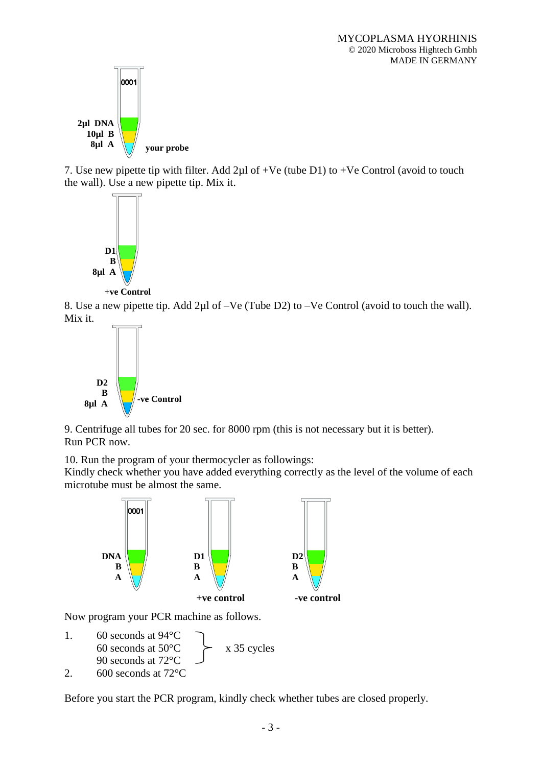

7. Use new pipette tip with filter. Add  $2\mu$ l of +Ve (tube D1) to +Ve Control (avoid to touch the wall). Use a new pipette tip. Mix it.



**+ve Control**

8. Use a new pipette tip. Add 2µl of –Ve (Tube D2) to –Ve Control (avoid to touch the wall). Mix it.



9. Centrifuge all tubes for 20 sec. for 8000 rpm (this is not necessary but it is better). Run PCR now.

10. Run the program of your thermocycler as followings:

Kindly check whether you have added everything correctly as the level of the volume of each microtube must be almost the same.



Now program your PCR machine as follows.

- 1. 60 seconds at 94°C 60 seconds at  $50^{\circ}$ C  $\times$  x 35 cycles 90 seconds at 72°C
- 2. 600 seconds at 72°C

Before you start the PCR program, kindly check whether tubes are closed properly.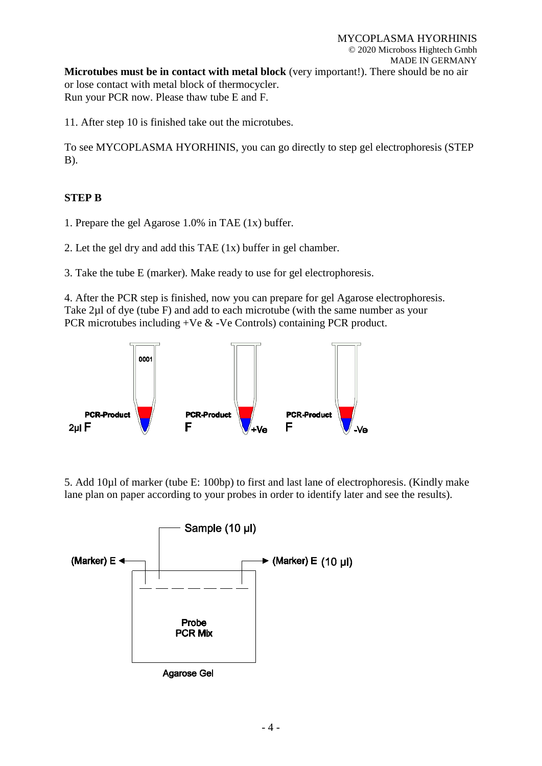11. After step 10 is finished take out the microtubes.

To see MYCOPLASMA HYORHINIS, you can go directly to step gel electrophoresis (STEP B).

## **STEP B**

1. Prepare the gel Agarose 1.0% in TAE (1x) buffer.

2. Let the gel dry and add this TAE (1x) buffer in gel chamber.

3. Take the tube E (marker). Make ready to use for gel electrophoresis.

4. After the PCR step is finished, now you can prepare for gel Agarose electrophoresis. Take 2µl of dye (tube F) and add to each microtube (with the same number as your PCR microtubes including +Ve & -Ve Controls) containing PCR product.



5. Add 10µl of marker (tube E: 100bp) to first and last lane of electrophoresis. (Kindly make lane plan on paper according to your probes in order to identify later and see the results).